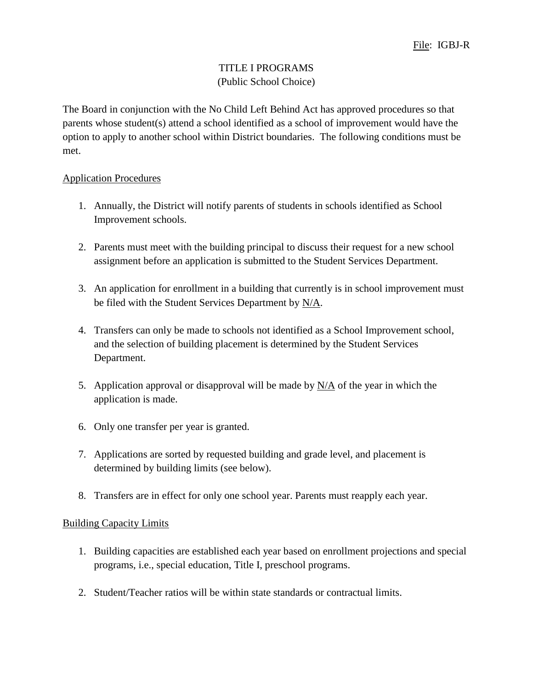## TITLE I PROGRAMS (Public School Choice)

The Board in conjunction with the No Child Left Behind Act has approved procedures so that parents whose student(s) attend a school identified as a school of improvement would have the option to apply to another school within District boundaries. The following conditions must be met.

## Application Procedures

- 1. Annually, the District will notify parents of students in schools identified as School Improvement schools.
- 2. Parents must meet with the building principal to discuss their request for a new school assignment before an application is submitted to the Student Services Department.
- 3. An application for enrollment in a building that currently is in school improvement must be filed with the Student Services Department by  $N/A$ .
- 4. Transfers can only be made to schools not identified as a School Improvement school, and the selection of building placement is determined by the Student Services Department.
- 5. Application approval or disapproval will be made by  $N/A$  of the year in which the application is made.
- 6. Only one transfer per year is granted.
- 7. Applications are sorted by requested building and grade level, and placement is determined by building limits (see below).
- 8. Transfers are in effect for only one school year. Parents must reapply each year.

## Building Capacity Limits

- 1. Building capacities are established each year based on enrollment projections and special programs, i.e., special education, Title I, preschool programs.
- 2. Student/Teacher ratios will be within state standards or contractual limits.